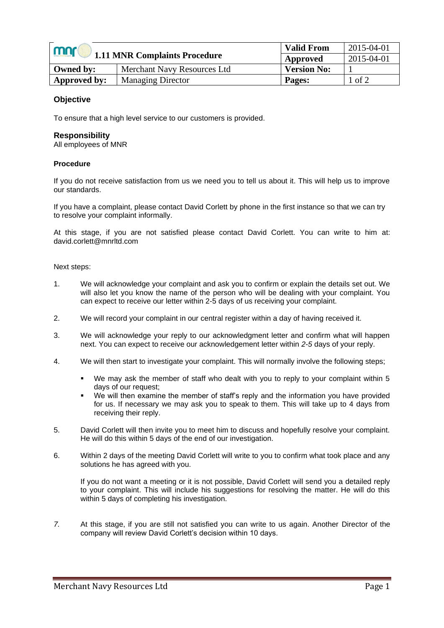| mnr<br><b>1.11 MNR Complaints Procedure</b> |                                    | <b>Valid From</b>  | 2015-04-01 |
|---------------------------------------------|------------------------------------|--------------------|------------|
|                                             |                                    | Approved           | 2015-04-01 |
| Owned by:                                   | <b>Merchant Navy Resources Ltd</b> | <b>Version No:</b> |            |
| Approved by:                                | <b>Managing Director</b>           | Pages:             | l of 2     |

## **Objective**

To ensure that a high level service to our customers is provided.

## **Responsibility**

All employees of MNR

### **Procedure**

If you do not receive satisfaction from us we need you to tell us about it. This will help us to improve our standards.

If you have a complaint, please contact David Corlett by phone in the first instance so that we can try to resolve your complaint informally.

At this stage, if you are not satisfied please contact David Corlett. You can write to him at: david.corlett@mnrltd.com

#### Next steps:

- 1. We will acknowledge your complaint and ask you to confirm or explain the details set out. We will also let you know the name of the person who will be dealing with your complaint. You can expect to receive our letter within 2-5 days of us receiving your complaint.
- 2. We will record your complaint in our central register within a day of having received it.
- 3. We will acknowledge your reply to our acknowledgment letter and confirm what will happen next. You can expect to receive our acknowledgement letter within *2-5* days of your reply.
- 4. We will then start to investigate your complaint. This will normally involve the following steps;
	- We may ask the member of staff who dealt with you to reply to your complaint within 5 days of our request;
	- We will then examine the member of staff's reply and the information you have provided for us. If necessary we may ask you to speak to them. This will take up to 4 days from receiving their reply.
- 5. David Corlett will then invite you to meet him to discuss and hopefully resolve your complaint. He will do this within 5 days of the end of our investigation.
- 6. Within 2 days of the meeting David Corlett will write to you to confirm what took place and any solutions he has agreed with you.

If you do not want a meeting or it is not possible, David Corlett will send you a detailed reply to your complaint. This will include his suggestions for resolving the matter. He will do this within 5 days of completing his investigation.

*7.* At this stage, if you are still not satisfied you can write to us again. Another Director of the company will review David Corlett's decision within 10 days.